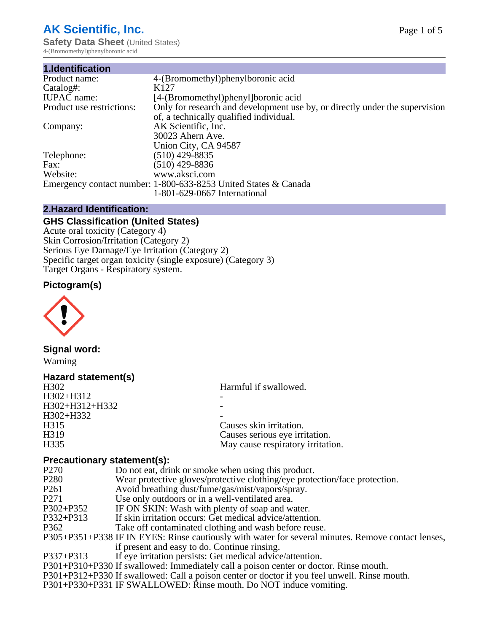# **AK Scientific, Inc.**

**Safety Data Sheet (United States)** 4-(Bromomethyl)phenylboronic acid

| 1.Identification          |                                                                             |
|---------------------------|-----------------------------------------------------------------------------|
| Product name:             | 4-(Bromomethyl)phenylboronic acid                                           |
| Catalog#:                 | K <sub>127</sub>                                                            |
| <b>IUPAC</b> name:        | [4-(Bromomethyl)phenyl]boronic acid                                         |
| Product use restrictions: | Only for research and development use by, or directly under the supervision |
|                           | of, a technically qualified individual.                                     |
| Company:                  | AK Scientific, Inc.                                                         |
|                           | 30023 Ahern Ave.                                                            |
|                           | Union City, CA 94587                                                        |
| Telephone:                | $(510)$ 429-8835                                                            |
| Fax:                      | $(510)$ 429-8836                                                            |
| Website:                  | www.aksci.com                                                               |
|                           | Emergency contact number: 1-800-633-8253 United States & Canada             |
|                           | 1-801-629-0667 International                                                |

## **2.Hazard Identification:**

## **GHS Classification (United States)**

Acute oral toxicity (Category 4) Skin Corrosion/Irritation (Category 2) Serious Eye Damage/Eye Irritation (Category 2) Specific target organ toxicity (single exposure) (Category 3) Target Organs - Respiratory system.

# **Pictogram(s)**



## **Signal word:**

Warning

| Hazard statement(s) |                                   |
|---------------------|-----------------------------------|
| H <sub>3</sub> 02   | Harmful if swallowed.             |
| H302+H312           |                                   |
| H302+H312+H332      |                                   |
| H302+H332           |                                   |
| H315                | Causes skin irritation.           |
| H319                | Causes serious eye irritation.    |
| H335                | May cause respiratory irritation. |

## **Precautionary statement(s):**

| $\blacksquare$   |                                                                                                    |
|------------------|----------------------------------------------------------------------------------------------------|
| P270             | Do not eat, drink or smoke when using this product.                                                |
| P <sub>280</sub> | Wear protective gloves/protective clothing/eye protection/face protection.                         |
| P261             | Avoid breathing dust/fume/gas/mist/vapors/spray.                                                   |
| P271             | Use only outdoors or in a well-ventilated area.                                                    |
| P302+P352        | IF ON SKIN: Wash with plenty of soap and water.                                                    |
| P332+P313        | If skin irritation occurs: Get medical advice/attention.                                           |
| P362             | Take off contaminated clothing and wash before reuse.                                              |
|                  | P305+P351+P338 IF IN EYES: Rinse cautiously with water for several minutes. Remove contact lenses, |
|                  | if present and easy to do. Continue rinsing.                                                       |
| P337+P313        | If eye irritation persists: Get medical advice/attention.                                          |
|                  | P301+P310+P330 If swallowed: Immediately call a poison center or doctor. Rinse mouth.              |
|                  | P301+P312+P330 If swallowed: Call a poison center or doctor if you feel unwell. Rinse mouth.       |
|                  | <b>DAAA DAA4 ID GIILLE E GIILDD. D</b>                                                             |

P301+P330+P331 IF SWALLOWED: Rinse mouth. Do NOT induce vomiting.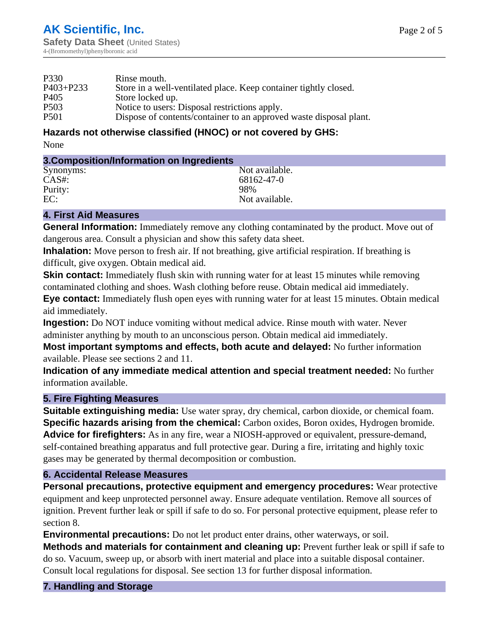| P330             | Rinse mouth.                                                       |
|------------------|--------------------------------------------------------------------|
| $P403 + P233$    | Store in a well-ventilated place. Keep container tightly closed.   |
| P405             | Store locked up.                                                   |
| P <sub>503</sub> | Notice to users: Disposal restrictions apply.                      |
| <b>P501</b>      | Dispose of contents/container to an approved waste disposal plant. |
|                  |                                                                    |

## **Hazards not otherwise classified (HNOC) or not covered by GHS:**

None

| 3. Composition/Information on Ingredients |
|-------------------------------------------|
|                                           |

| Synonyms: | Not available. |
|-----------|----------------|
| $CAS#$ :  | 68162-47-0     |
| Purity:   | 98%            |
| EC:       | Not available. |

# **4. First Aid Measures**

**General Information:** Immediately remove any clothing contaminated by the product. Move out of dangerous area. Consult a physician and show this safety data sheet.

**Inhalation:** Move person to fresh air. If not breathing, give artificial respiration. If breathing is difficult, give oxygen. Obtain medical aid.

**Skin contact:** Immediately flush skin with running water for at least 15 minutes while removing contaminated clothing and shoes. Wash clothing before reuse. Obtain medical aid immediately.

**Eye contact:** Immediately flush open eyes with running water for at least 15 minutes. Obtain medical aid immediately.

**Ingestion:** Do NOT induce vomiting without medical advice. Rinse mouth with water. Never administer anything by mouth to an unconscious person. Obtain medical aid immediately.

**Most important symptoms and effects, both acute and delayed:** No further information available. Please see sections 2 and 11.

**Indication of any immediate medical attention and special treatment needed:** No further information available.

# **5. Fire Fighting Measures**

**Suitable extinguishing media:** Use water spray, dry chemical, carbon dioxide, or chemical foam. **Specific hazards arising from the chemical:** Carbon oxides, Boron oxides, Hydrogen bromide. **Advice for firefighters:** As in any fire, wear a NIOSH-approved or equivalent, pressure-demand, self-contained breathing apparatus and full protective gear. During a fire, irritating and highly toxic gases may be generated by thermal decomposition or combustion.

# **6. Accidental Release Measures**

**Personal precautions, protective equipment and emergency procedures:** Wear protective equipment and keep unprotected personnel away. Ensure adequate ventilation. Remove all sources of ignition. Prevent further leak or spill if safe to do so. For personal protective equipment, please refer to section 8.

**Environmental precautions:** Do not let product enter drains, other waterways, or soil.

**Methods and materials for containment and cleaning up:** Prevent further leak or spill if safe to do so. Vacuum, sweep up, or absorb with inert material and place into a suitable disposal container. Consult local regulations for disposal. See section 13 for further disposal information.

**7. Handling and Storage**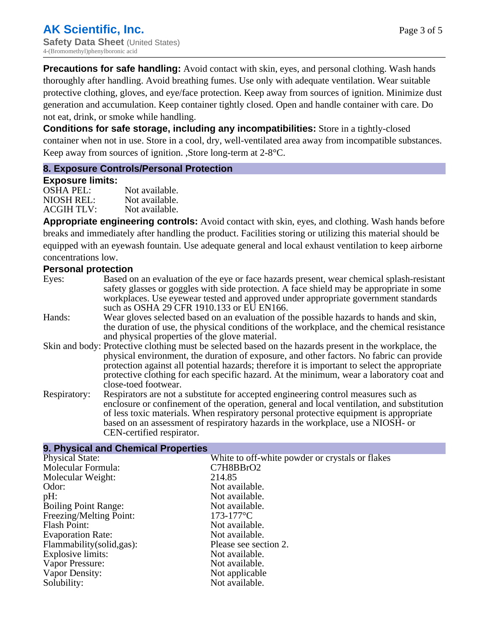**Precautions for safe handling:** Avoid contact with skin, eyes, and personal clothing. Wash hands thoroughly after handling. Avoid breathing fumes. Use only with adequate ventilation. Wear suitable protective clothing, gloves, and eye/face protection. Keep away from sources of ignition. Minimize dust generation and accumulation. Keep container tightly closed. Open and handle container with care. Do not eat, drink, or smoke while handling.

**Conditions for safe storage, including any incompatibilities:** Store in a tightly-closed container when not in use. Store in a cool, dry, well-ventilated area away from incompatible substances. Keep away from sources of ignition. ,Store long-term at 2-8°C.

## **8. Exposure Controls/Personal Protection**

#### **Exposure limits:**

| OSHA PEL:  | Not available. |
|------------|----------------|
| NIOSH REL: | Not available. |
| ACGIH TLV: | Not available. |

**Appropriate engineering controls:** Avoid contact with skin, eyes, and clothing. Wash hands before breaks and immediately after handling the product. Facilities storing or utilizing this material should be equipped with an eyewash fountain. Use adequate general and local exhaust ventilation to keep airborne concentrations low.

## **Personal protection**

| Eyes:        | Based on an evaluation of the eye or face hazards present, wear chemical splash-resistant              |
|--------------|--------------------------------------------------------------------------------------------------------|
|              | safety glasses or goggles with side protection. A face shield may be appropriate in some               |
|              | workplaces. Use eyewear tested and approved under appropriate government standards                     |
|              | such as OSHA 29 CFR 1910.133 or EU EN166.                                                              |
| Hands:       | Wear gloves selected based on an evaluation of the possible hazards to hands and skin,                 |
|              | the duration of use, the physical conditions of the workplace, and the chemical resistance             |
|              | and physical properties of the glove material.                                                         |
|              | Skin and body: Protective clothing must be selected based on the hazards present in the workplace, the |
|              | physical environment, the duration of exposure, and other factors. No fabric can provide               |
|              | protection against all potential hazards; therefore it is important to select the appropriate          |
|              | protective clothing for each specific hazard. At the minimum, wear a laboratory coat and               |
|              | close-toed footwear.                                                                                   |
| Respiratory: | Respirators are not a substitute for accepted engineering control measures such as                     |
|              | enclosure or confinement of the operation, general and local ventilation, and substitution             |
|              | of less toxic materials. When respiratory personal protective equipment is appropriate                 |
|              | based on an assessment of respiratory hazards in the workplace, use a NIOSH- or                        |

#### **9. Physical and Chemical Properties**

CEN-certified respirator.

| <b>Physical State:</b>      | White to off-white powder or crystals or flakes |
|-----------------------------|-------------------------------------------------|
| Molecular Formula:          | C7H8BBrO2                                       |
| Molecular Weight:           | 214.85                                          |
| Odor:                       | Not available.                                  |
| pH:                         | Not available.                                  |
| <b>Boiling Point Range:</b> | Not available.                                  |
| Freezing/Melting Point:     | $173 - 177$ °C                                  |
| Flash Point:                | Not available.                                  |
| <b>Evaporation Rate:</b>    | Not available.                                  |
| Flammability (solid, gas):  | Please see section 2.                           |
| Explosive limits:           | Not available.                                  |
| Vapor Pressure:             | Not available.                                  |
| Vapor Density:              | Not applicable                                  |
| Solubility:                 | Not available.                                  |
|                             |                                                 |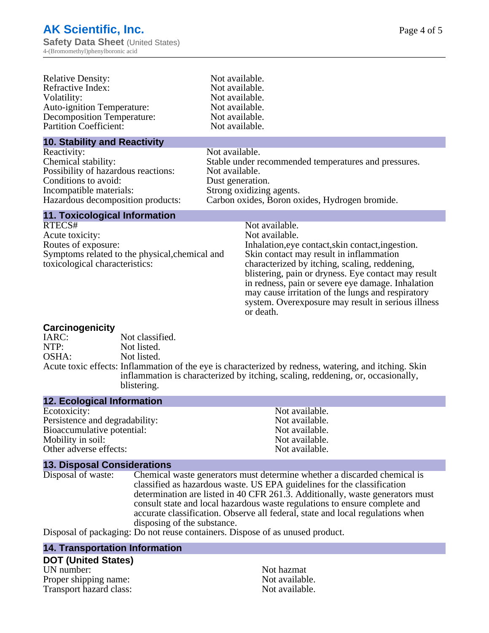| <b>Relative Density:</b>          | Not available. |
|-----------------------------------|----------------|
| Refractive Index:                 | Not available. |
| Volatility:                       | Not available. |
| <b>Auto-ignition Temperature:</b> | Not available. |
| <b>Decomposition Temperature:</b> | Not available. |
| <b>Partition Coefficient:</b>     | Not available. |

#### **10. Stability and Reactivity**

Reactivity: Not available. Possibility of hazardous reactions: Conditions to avoid: Dust generation. Incompatible materials: Strong oxidizing agents.

Iot available. ot available. Iot available. Iot available. Iot available.

Chemical stability:<br>
Stable under recommended temperatures and pressures.<br>
Possibility of hazardous reactions:<br>
Not available. Hazardous decomposition products: Carbon oxides, Boron oxides, Hydrogen bromide.

## **11. Toxicological Information**

RTECS# Not available. Acute toxicity: Not available. Routes of exposure: Inhalation,eye contact,skin contact,ingestion. Symptoms related to the physical,chemical and toxicological characteristics:

Skin contact may result in inflammation characterized by itching, scaling, reddening, blistering, pain or dryness. Eye contact may result in redness, pain or severe eye damage. Inhalation may cause irritation of the lungs and respiratory system. Overexposure may result in serious illness or death.

## **Carcinogenicity**

IARC: Not classified.<br>NTP: Not listed. Not listed. OSHA: Not listed. Acute toxic effects: Inflammation of the eye is characterized by redness, watering, and itching. Skin inflammation is characterized by itching, scaling, reddening, or, occasionally, blistering.

#### **12. Ecological Information**

Ecotoxicity: Not available. Persistence and degradability:<br>
Bioaccumulative potential:<br>
Not available.<br>
Not available. Bioaccumulative potential:<br>
Motify in soil:<br>
Motify in soil:<br>
Not available. Mobility in soil: Other adverse effects: Not available.

#### **13. Disposal Considerations**

Disposal of waste: Chemical waste generators must determine whether a discarded chemical is classified as hazardous waste. US EPA guidelines for the classification determination are listed in 40 CFR 261.3. Additionally, waste generators must consult state and local hazardous waste regulations to ensure complete and accurate classification. Observe all federal, state and local regulations when disposing of the substance.

Disposal of packaging: Do not reuse containers. Dispose of as unused product.

#### **14. Transportation Information**

#### **DOT (United States)**

UN number:<br>Proper shipping name:  $\begin{array}{ccc} & & \text{Not azmat} \\ \text{Proper a}\n\end{array}$ Proper shipping name:<br>
Transport hazard class:<br>
Not available.<br>
Not available. Transport hazard class: